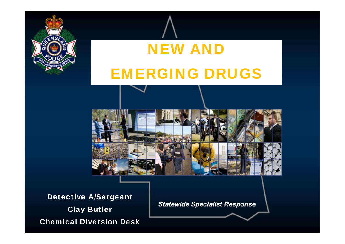

# NEW AND EMERGING DRUGS



Detective A/Sergeant Clay Butler Chemical Diversion Desk

**Statewide Specialist Response**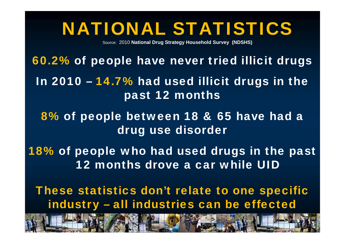### NATIONAL STATISTICS

Source: 2010 **National Drug Strategy Household Survey (NDSHS)**

60.2% of people have never tried illicit drugs

- In 2010 14.7% had used illicit drugs in the past 12 months
	- 8% of people between 18 & 65 have had a drug use disorder
- 18% of people who had used drugs in the past 12 months drove a car while UID
	- These statistics don't relate to one specific industry – all industries can be effected

sh sector in the mining sector sector sector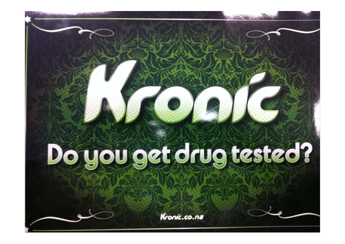# Do you get drug tested?

Kronic.co.nz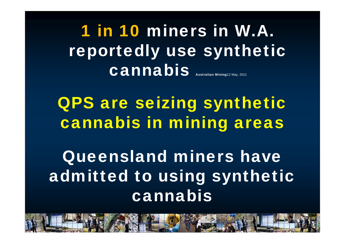1 in 10 miners in W.A. reportedly use synthetic Cannabis Australian Mining12 May, 2011

QPS are seizing synthetic cannabis in mining areas

Queensland miners have admitted to using synthetic cannabis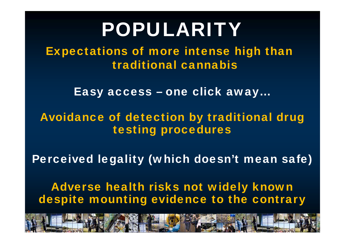# POPULARITY

Expectations of more intense high than traditional cannabis

Easy access – one click away…

#### Avoidance of detection by traditional drug testing procedures

Perceived legality (which doesn't mean safe)

Adverse health risks not widely known despite mounting evidence to the contrary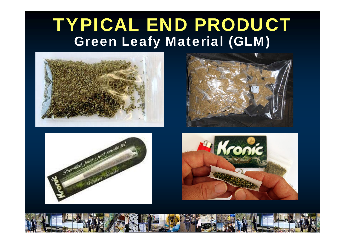### TYPICAL END PRODUCT Green Leafy Material (GLM)







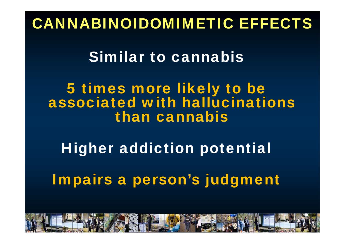### CANNABINOIDOMIMETIC EFFECTS

### Similar to cannabis

5 times more likely to be associated with hallucinations than cannabis

Higher addiction potential

Impairs a person's judgment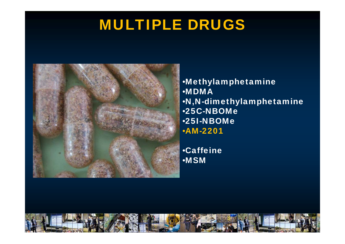### MULTIPLE DRUGS



•Methylamphetamine •MDMA•N,N-dimethylamphetamine •25C-NBOMe •25I-NBOMe •AM-2201

•Caffeine •MSM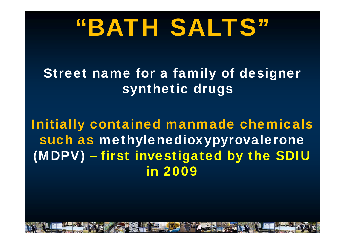# "BATH SALTS"

### Street name for a family of designer synthetic drugs

### Initially contained manmade chemicals such as methylenedioxypyrovalerone (MDPV) – first investigated by the SDIU in 2009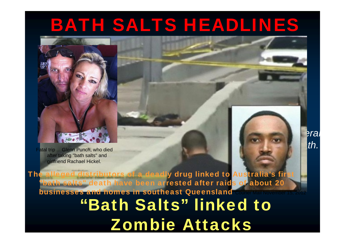### BATH SALTS HEADLINES

2012 - First Australian Communication Communication Communication Communication

"Bath Saltan Death Saltan

**Managed and psychological and psychological and psychological and psychological and psychological and psychological and** 

**cocaine substitute offers a** 

**deadly high"**

SMH November 3, 2012

Fatal trip ... Glenn Punch, who died after taking "bath salts" and girlfriend Rachael Hickel.

"Bath Salts" linked to Zombie Attacks The alleged distributors of a deadly drug linked to Australia's fir "bath salts" death have been arrested after raids of about 20 businesses and homes in southeast QueenslandC Courier Mail November 15, 2012

*It was an unbearable high that lasted severa* era. *days and ended in a naked, bloodied death.* 

*l*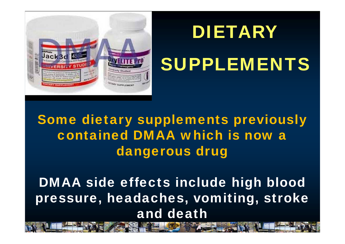# DIETARY

# SUPPLEMENTS



Some dietary supplements previously contained DMAA which is now a dangerous drug

DMAA side effects include high blood pressure, headaches, vomiting, stroke and death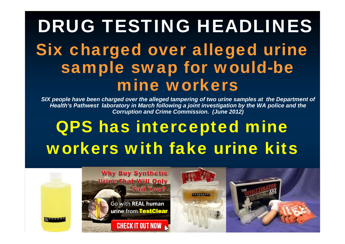# DRUG TESTING HEADLINES Six charged over alleged urine sample swap for would-be mine workers

**SIX people have been charged over the alleged tampering of two urine samples at the Department of** *Health's Pathwest laboratory in March following a joint investigation by the WA police and the Corruption and Crime Commission. (June 2012)*

## QPS has intercepted mine workers with fake urine kits